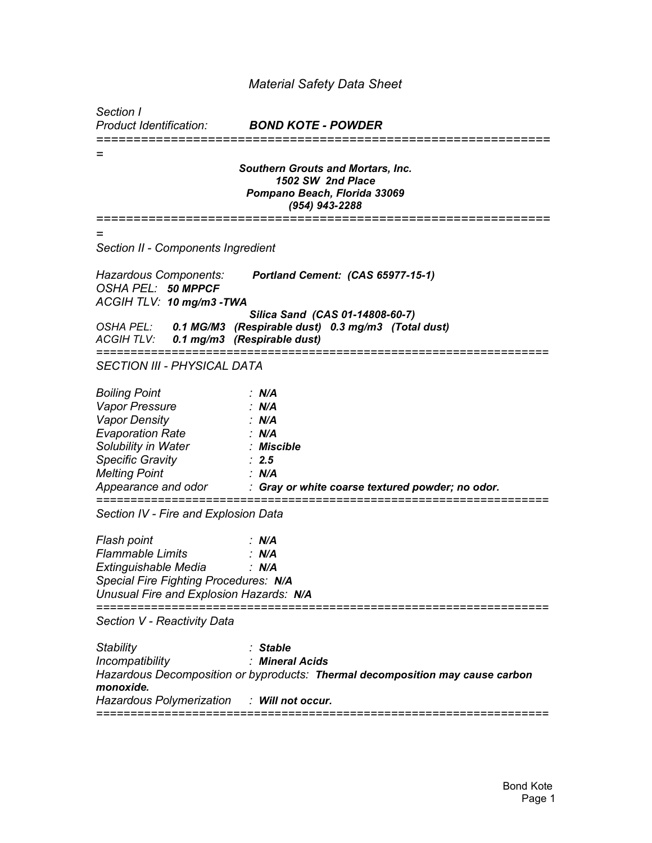## *Material Safety Data Sheet*

*Section I*

*Product Identification: BOND KOTE - POWDER*

*============================================================= = Southern Grouts and Mortars, Inc. 1502 SW 2nd Place Pompano Beach, Florida 33069 (954) 943-2288 ============================================================= = Section II - Components Ingredient Hazardous Components: Portland Cement: (CAS 65977-15-1) OSHA PEL: 50 MPPCF ACGIH TLV: 10 mg/m3 -TWA Silica Sand (CAS 01-14808-60-7) OSHA PEL: 0.1 MG/M3 (Respirable dust) 0.3 mg/m3 (Total dust) ACGIH TLV: 0.1 mg/m3 (Respirable dust) ================================================================== SECTION III - PHYSICAL DATA Boiling Point : N/A Vapor Pressure : N/A Vapor Density : N/A Evaporation Rate : N/A Solubility in Water : Miscible Specific Gravity : 2.5 Melting Point : N/A Appearance and odor : Gray or white coarse textured powder; no odor. ================================================================== Section IV - Fire and Explosion Data Flash point : N/A Flammable Limits : N/A Extinguishable Media : N/A Special Fire Fighting Procedures: N/A Unusual Fire and Explosion Hazards: N/A ================================================================== Section V - Reactivity Data Stability : Stable Incompatibility : Mineral Acids Hazardous Decomposition or byproducts: Thermal decomposition may cause carbon monoxide. Hazardous Polymerization : Will not occur. ==================================================================*